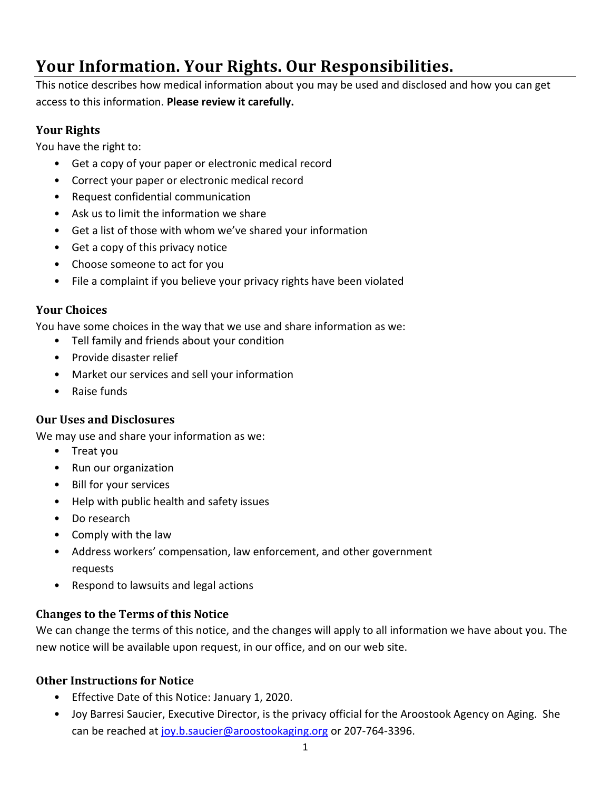# **Your Information. Your Rights. Our Responsibilities.**

This notice describes how medical information about you may be used and disclosed and how you can get access to this information. **Please review it carefully.**

## **Your Rights**

You have the right to:

- Get a copy of your paper or electronic medical record
- Correct your paper or electronic medical record
- Request confidential communication
- Ask us to limit the information we share
- Get a list of those with whom we've shared your information
- Get a copy of this privacy notice
- Choose someone to act for you
- File a complaint if you believe your privacy rights have been violated

#### **Your Choices**

You have some choices in the way that we use and share information as we:

- Tell family and friends about your condition
- Provide disaster relief
- Market our services and sell your information
- Raise funds

#### **Our Uses and Disclosures**

We may use and share your information as we:

- Treat you
- Run our organization
- Bill for your services
- Help with public health and safety issues
- Do research
- Comply with the law
- Address workers' compensation, law enforcement, and other government requests
- Respond to lawsuits and legal actions

#### **Changes to the Terms of this Notice**

We can change the terms of this notice, and the changes will apply to all information we have about you. The new notice will be available upon request, in our office, and on our web site.

#### **Other Instructions for Notice**

- Effective Date of this Notice: January 1, 2020.
- Joy Barresi Saucier, Executive Director, is the privacy official for the Aroostook Agency on Aging. She can be reached at [joy.b.saucier@aroostookaging.org](mailto:joy.b.saucier@aroostookaging.org) or 207-764-3396.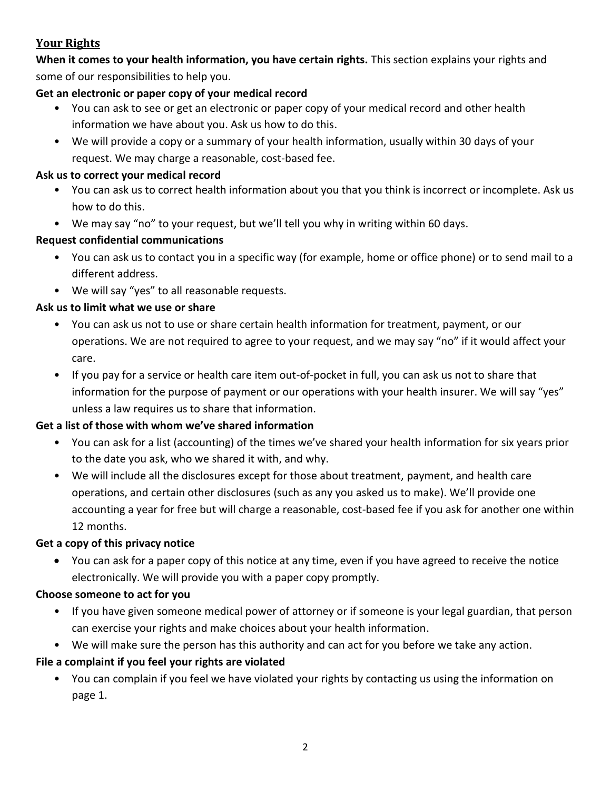## **Your Rights**

**When it comes to your health information, you have certain rights.** This section explains your rights and some of our responsibilities to help you.

## **Get an electronic or paper copy of your medical record**

- You can ask to see or get an electronic or paper copy of your medical record and other health information we have about you. Ask us how to do this.
- We will provide a copy or a summary of your health information, usually within 30 days of your request. We may charge a reasonable, cost-based fee.

#### **Ask us to correct your medical record**

- You can ask us to correct health information about you that you think is incorrect or incomplete. Ask us how to do this.
- We may say "no" to your request, but we'll tell you why in writing within 60 days.

## **Request confidential communications**

- You can ask us to contact you in a specific way (for example, home or office phone) or to send mail to a different address.
- We will say "yes" to all reasonable requests.

## **Ask us to limit what we use or share**

- You can ask us not to use or share certain health information for treatment, payment, or our operations. We are not required to agree to your request, and we may say "no" if it would affect your care.
- If you pay for a service or health care item out-of-pocket in full, you can ask us not to share that information for the purpose of payment or our operations with your health insurer. We will say "yes" unless a law requires us to share that information.

## **Get a list of those with whom we've shared information**

- You can ask for a list (accounting) of the times we've shared your health information for six years prior to the date you ask, who we shared it with, and why.
- We will include all the disclosures except for those about treatment, payment, and health care operations, and certain other disclosures (such as any you asked us to make). We'll provide one accounting a year for free but will charge a reasonable, cost-based fee if you ask for another one within 12 months.

#### **Get a copy of this privacy notice**

• You can ask for a paper copy of this notice at any time, even if you have agreed to receive the notice electronically. We will provide you with a paper copy promptly.

#### **Choose someone to act for you**

- If you have given someone medical power of attorney or if someone is your legal guardian, that person can exercise your rights and make choices about your health information.
- We will make sure the person has this authority and can act for you before we take any action.

## **File a complaint if you feel your rights are violated**

• You can complain if you feel we have violated your rights by contacting us using the information on page 1.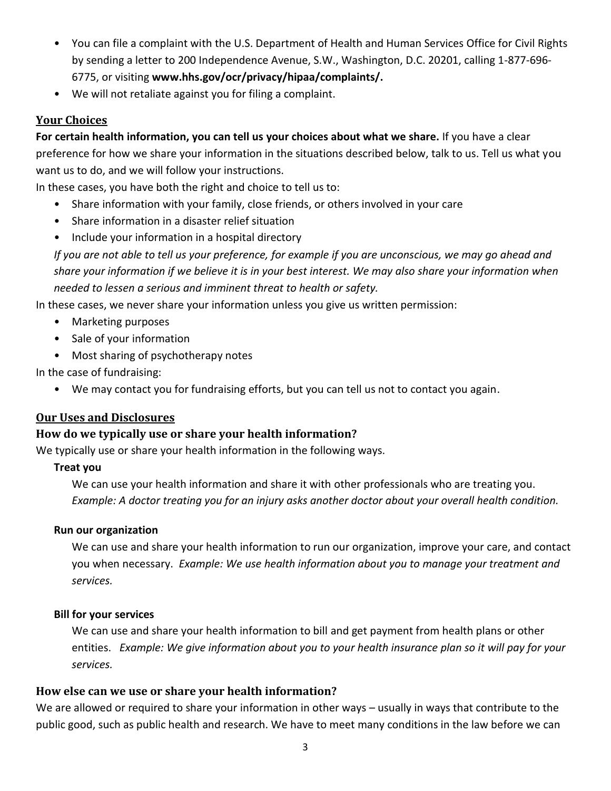- You can file a complaint with the U.S. Department of Health and Human Services Office for Civil Rights by sending a letter to 200 Independence Avenue, S.W., Washington, D.C. 20201, calling 1-877-696- 6775, or visiting **www.hhs.gov/ocr/privacy/hipaa/complaints/.**
- We will not retaliate against you for filing a complaint.

## **Your Choices**

**For certain health information, you can tell us your choices about what we share.** If you have a clear preference for how we share your information in the situations described below, talk to us. Tell us what you want us to do, and we will follow your instructions.

In these cases, you have both the right and choice to tell us to:

- Share information with your family, close friends, or others involved in your care
- Share information in a disaster relief situation
- Include your information in a hospital directory

*If you are not able to tell us your preference, for example if you are unconscious, we may go ahead and share your information if we believe it is in your best interest. We may also share your information when needed to lessen a serious and imminent threat to health or safety.*

In these cases, we never share your information unless you give us written permission:

- Marketing purposes
- Sale of your information
- Most sharing of psychotherapy notes

In the case of fundraising:

• We may contact you for fundraising efforts, but you can tell us not to contact you again.

#### **Our Uses and Disclosures**

#### **How do we typically use or share your health information?**

We typically use or share your health information in the following ways.

#### **Treat you**

We can use your health information and share it with other professionals who are treating you. *Example: A doctor treating you for an injury asks another doctor about your overall health condition.*

#### **Run our organization**

We can use and share your health information to run our organization, improve your care, and contact you when necessary. *Example: We use health information about you to manage your treatment and services.* 

#### **Bill for your services**

We can use and share your health information to bill and get payment from health plans or other entities. *Example: We give information about you to your health insurance plan so it will pay for your services.* 

#### **How else can we use or share your health information?**

We are allowed or required to share your information in other ways – usually in ways that contribute to the public good, such as public health and research. We have to meet many conditions in the law before we can